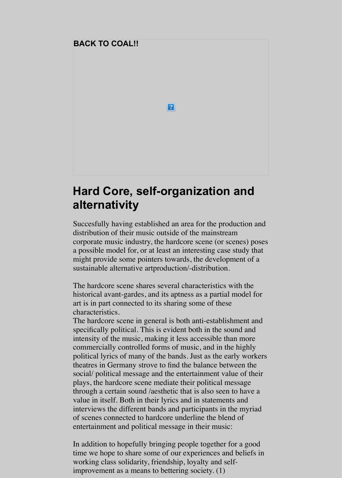## **[Hard Core, self-organization and](http://www.societyofcontrol.com/coal/index.htm) alternativity**

 $\vert$  ?  $\vert$ 

Succesfully having established an area for the production and distribution of their music outside of the mainstream corporate music industry, the hardcore scene (or scenes) poses a possible model for, or at least an interesting case study that might provide some pointers towards, the development of a sustainable alternative artproduction/-distribution.

The hardcore scene shares several characteristics with the historical avant-gardes, and its aptness as a partial model for art is in part connected to its sharing some of these characteristics.

The hardcore scene in general is both anti-establishment and specifically political. This is evident both in the sound and intensity of the music, making it less accessible than more commercially controlled forms of music, and in the highly political lyrics of many of the bands. Just as the early workers theatres in Germany strove to find the balance between the social/ political message and the entertainment value of their plays, the hardcore scene mediate their political message through a certain sound /aesthetic that is also seen to have a value in itself. Both in their lyrics and in statements and interviews the different bands and participants in the myriad of scenes connected to hardcore underline the blend of entertainment and political message in their music:

In addition to hopefully bringing people together for a good time we hope to share some of our experiences and beliefs in working class solidarity, friendship, loyalty and selfimprovement as a means to bettering society. (1)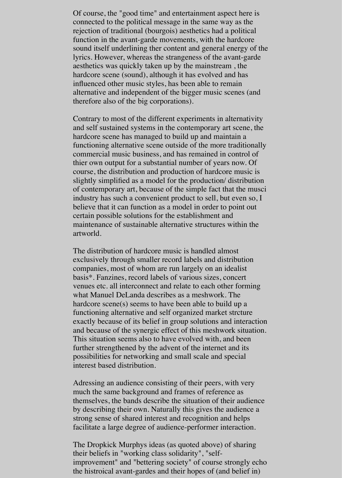Of course, the "good time" and entertainment aspect here is connected to the political message in the same way as the rejection of traditional (bourgois) aesthetics had a political function in the avant-garde movements, with the hardcore sound itself underlining ther content and general energy of the lyrics. However, whereas the strangeness of the avant-garde aesthetics was quickly taken up by the mainstream , the hardcore scene (sound), although it has evolved and has influenced other music styles, has been able to remain alternative and independent of the bigger music scenes (and therefore also of the big corporations).

Contrary to most of the different experiments in alternativity and self sustained systems in the contemporary art scene, the hardcore scene has managed to build up and maintain a functioning alternative scene outside of the more traditionally commercial music business, and has remained in control of thier own output for a substantial number of years now. Of course, the distribution and production of hardcore music is slightly simplified as a model for the production/ distribution of contemporary art, because of the simple fact that the musci industry has such a convenient product to sell, but even so, I believe that it can function as a model in order to point out certain possible solutions for the establishment and maintenance of sustainable alternative structures within the artworld.

The distribution of hardcore music is handled almost exclusively through smaller record labels and distribution companies, most of whom are run largely on an idealist basis\*. Fanzines, record labels of various sizes, concert venues etc. all interconnect and relate to each other forming what Manuel DeLanda describes as a meshwork. The hardcore scene(s) seems to have been able to build up a functioning alternative and self organized market strcture exactly because of its belief in group solutions and interaction and because of the synergic effect of this meshwork situation. This situation seems also to have evolved with, and been further strengthened by the advent of the internet and its possibilities for networking and small scale and special interest based distribution.

Adressing an audience consisting of their peers, with very much the same background and frames of reference as themselves, the bands describe the situation of their audience by describing their own. Naturally this gives the audience a strong sense of shared interest and recognition and helps facilitate a large degree of audience-performer interaction.

The Dropkick Murphys ideas (as quoted above) of sharing their beliefs in "working class solidarity", "selfimprovement" and "bettering society" of course strongly echo the histroical avant-gardes and their hopes of (and belief in)